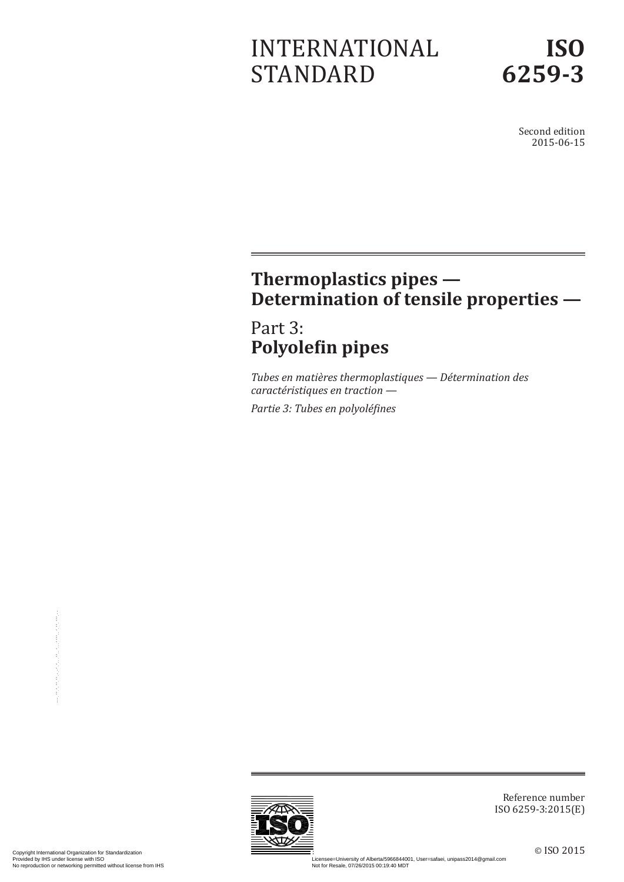# INTERNATIONAL STANDARD

Second edition 2015-06-15

# **Thermoplastics pipes — Determination of tensile properties —**

# Part 3: **Polyolefin pipes**

*Tubes en matières thermoplastiques — Détermination des caractéristiques en traction —*

*Partie 3: Tubes en polyoléfines*



Reference number ISO 6259-3:2015(E)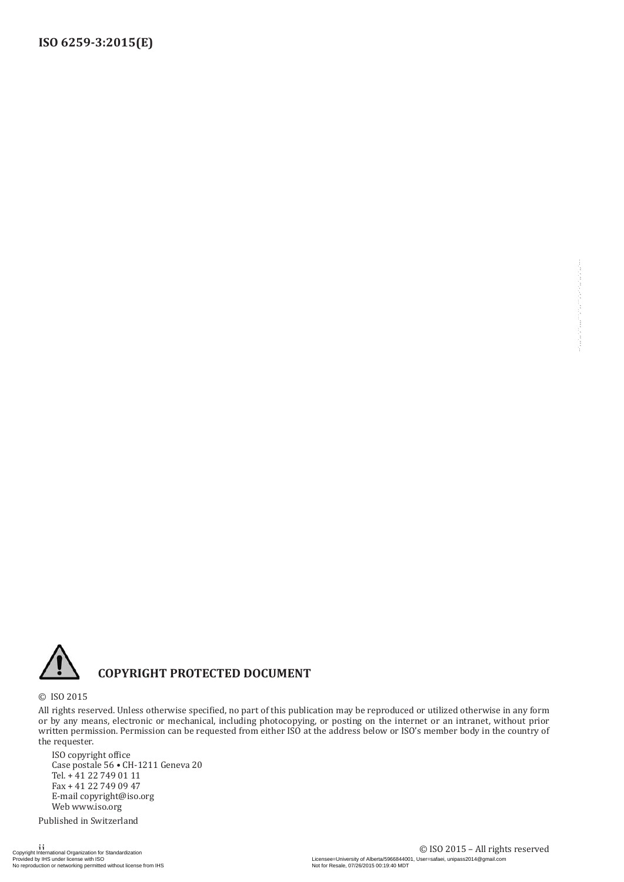

#### **COPYRIGHT PROTECTED DOCUMENT**

© ISO 2015

All rights reserved. Unless otherwise specified, no part of this publication may be reproduced or utilized otherwise in any form or by any means, electronic or mechanical, including photocopying, or posting on the internet or an intranet, without prior written permission. Permission can be requested from either ISO at the address below or ISO's member body in the country of the requester.  $\begin{minipage}{0.99\textwidth} \begin{minipage}{0.99\textwidth} \begin{tabular}{|c|c|} \hline \textbf{X} & \textbf{OPTW1G} & \textbf{PROTURE} & \textbf{D} & \textbf{D} & \textbf{C} & \textbf{M} & \textbf{M} & \textbf{M} & \textbf{M} & \textbf{M} & \textbf{M} & \textbf{M} & \textbf{M} & \textbf{M} & \textbf{M} & \textbf{M} & \textbf{M} & \textbf{M} & \textbf{M} & \textbf{M} & \textbf{M} & \textbf{M} & \textbf{M} &$ 

ISO copyright office Case postale 56 • CH-1211 Geneva 20 Tel. + 41 22 749 01 11 Fax + 41 22 749 09 47 E-mail copyright@iso.org Web www.iso.org

Published in Switzerland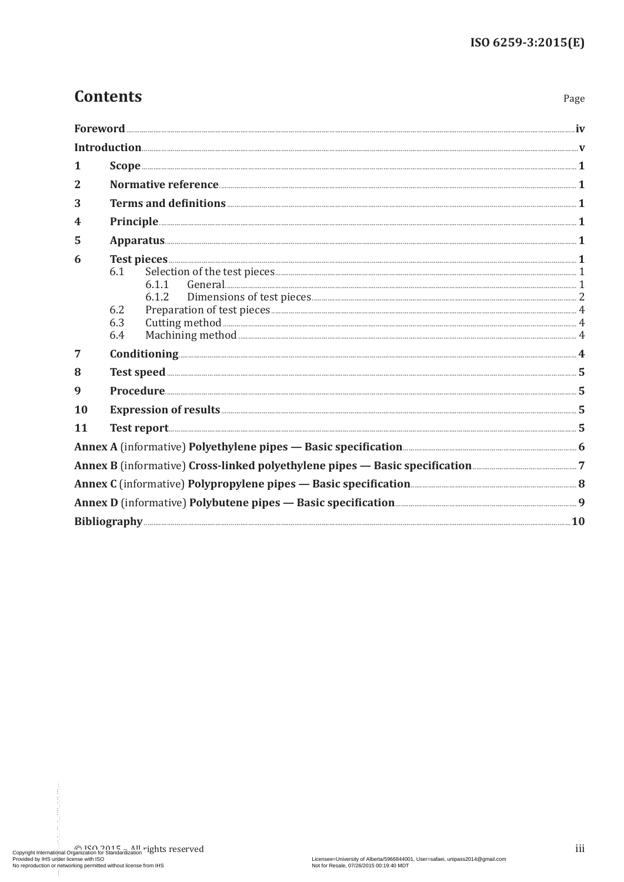Page

## **Contents**

| 1         |                   |                                                                                                                                                                                                                                      |  |
|-----------|-------------------|--------------------------------------------------------------------------------------------------------------------------------------------------------------------------------------------------------------------------------------|--|
| 2         |                   |                                                                                                                                                                                                                                      |  |
| 3         |                   |                                                                                                                                                                                                                                      |  |
| 4         |                   | <u>Principle and the set of the set of the set of the set of the set of the set of the set of the set of the set of the set of the set of the set of the set of the set of the set of the set of the set of the set of the set o</u> |  |
| 5         |                   | $\bf{Apparatus.}$ $\bf{1}$                                                                                                                                                                                                           |  |
| 6         | 6.1               | 6.1.1<br>6.1.2                                                                                                                                                                                                                       |  |
|           | 6.2<br>6.3<br>6.4 |                                                                                                                                                                                                                                      |  |
| 7         |                   |                                                                                                                                                                                                                                      |  |
| 8         |                   | Test speed <b>with a set of the contract of the contract of the contract of the contract of the contract of the contract of the contract of the contract of the contract of the contract of the contract of the contract of the </b> |  |
| 9         |                   |                                                                                                                                                                                                                                      |  |
| <b>10</b> |                   |                                                                                                                                                                                                                                      |  |
| <b>11</b> |                   |                                                                                                                                                                                                                                      |  |
|           |                   |                                                                                                                                                                                                                                      |  |
|           |                   | Annex B (informative) Cross-linked polyethylene pipes - Basic specification <b>Manufation</b> 7                                                                                                                                      |  |
|           |                   |                                                                                                                                                                                                                                      |  |
|           |                   | Annex D (informative) Polybutene pipes - Basic specification <b>Manual Annex D</b> (informative) 9                                                                                                                                   |  |
|           |                   |                                                                                                                                                                                                                                      |  |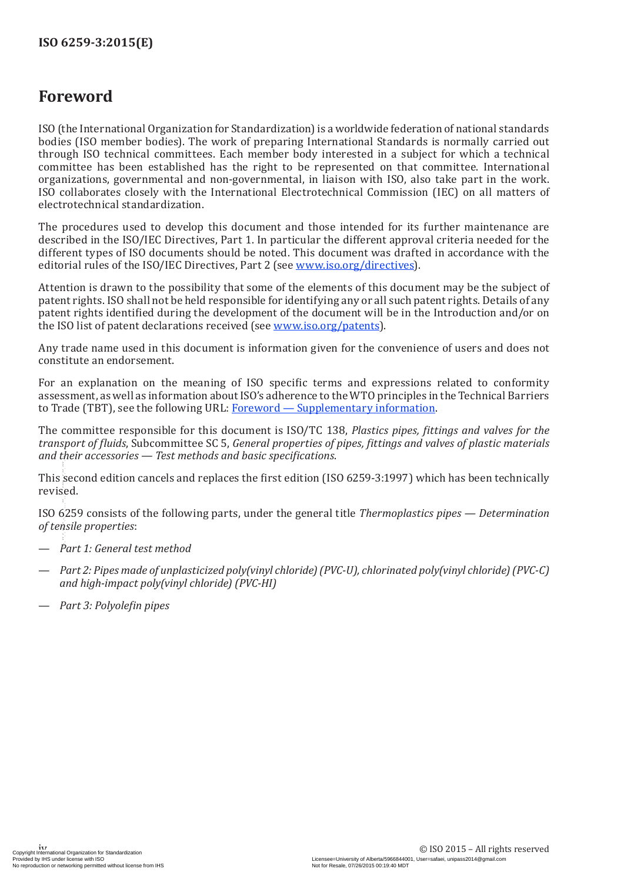### <span id="page-3-0"></span>**Foreword**

ISO (the International Organization for Standardization) is a worldwide federation of national standards bodies (ISO member bodies). The work of preparing International Standards is normally carried out through ISO technical committees. Each member body interested in a subject for which a technical committee has been established has the right to be represented on that committee. International organizations, governmental and non-governmental, in liaison with ISO, also take part in the work. ISO collaborates closely with the International Electrotechnical Commission (IEC) on all matters of electrotechnical standardization.

The procedures used to develop this document and those intended for its further maintenance are described in the ISO/IEC Directives, Part 1. In particular the different approval criteria needed for the different types of ISO documents should be noted. This document was drafted in accordance with the editorial rules of the ISO/IEC Directives, Part 2 (see [www.iso.org/directives\)](http://www.iso.org/directives).

Attention is drawn to the possibility that some of the elements of this document may be the subject of patent rights. ISO shall not be held responsible for identifying any or all such patent rights. Details of any patent rights identified during the development of the document will be in the Introduction and/or on the ISO list of patent declarations received (see [www.iso.org/patents](http://www.iso.org/patents)).

Any trade name used in this document is information given for the convenience of users and does not constitute an endorsement.

For an explanation on the meaning of ISO specific terms and expressions related to conformity assessment, as well as information about ISO's adherence to the WTO principles in the Technical Barriers to Trade (TBT), see the following URL: [Foreword — Supplementary information](http://www.iso.org/iso/home/standards_development/resources-for-technical-work/foreword.htm).

The committee responsible for this document is ISO/TC 138, *Plastics pipes, fittings and valves for the transport of fluids*, Subcommittee SC 5, *General properties of pipes, fittings and valves of plastic materials and their accessories — Test methods and basic specifications*.

This second edition cancels and replaces the first edition (ISO 6259-3:1997) which has been technically revised.

ISO 6259 consists of the following parts, under the general title *Thermoplastics pipes — Determination of tensile properties*:

- *Part 1: General test method*
- *Part 2: Pipes made of unplasticized poly(vinyl chloride)(PVC-U), chlorinated poly(vinyl chloride)(PVC-C) and high-impact poly(vinyl chloride) (PVC-HI)* No reproduction or networking the second delta in contrast and replaces the first edition (ISO 6259-3:1997<br>
revised.<br>
1SO 6259 consists of the following parts, under the general title *Thermople*<br>
of tensile properties:<br>
	- *Part 3: Polyolefin pipes*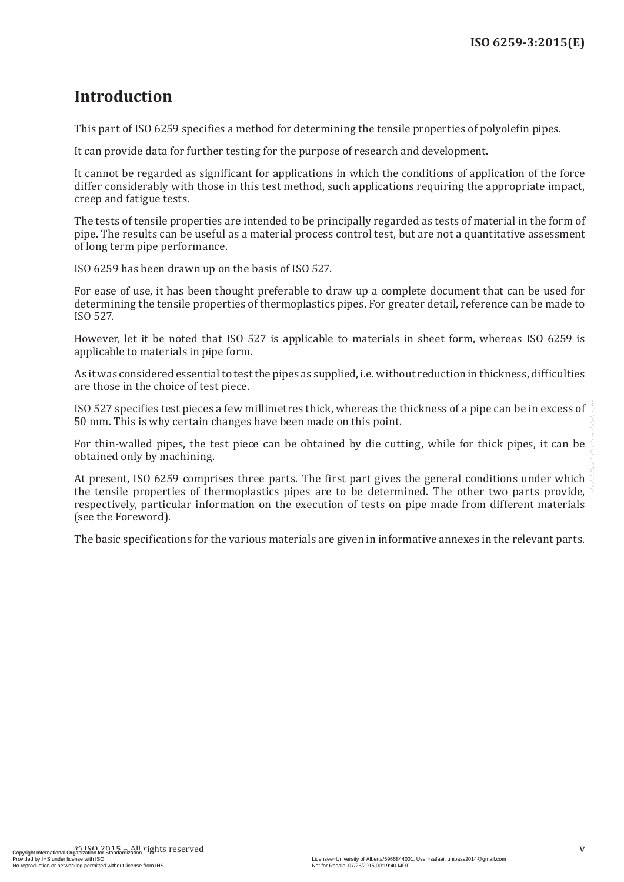### <span id="page-4-0"></span>**Introduction**

This part of ISO 6259 specifies a method for determining the tensile properties of polyolefin pipes.

It can provide data for further testing for the purpose of research and development.

It cannot be regarded as significant for applications in which the conditions of application of the force differ considerably with those in this test method, such applications requiring the appropriate impact, creep and fatigue tests.

The tests of tensile properties are intended to be principally regarded as tests of material in the form of pipe. The results can be useful as a material process control test, but are not a quantitative assessment of long term pipe performance.

ISO 6259 has been drawn up on the basis of ISO 527.

For ease of use, it has been thought preferable to draw up a complete document that can be used for determining the tensile properties of thermoplastics pipes. For greater detail, reference can be made to ISO 527.

However, let it be noted that ISO 527 is applicable to materials in sheet form, whereas ISO 6259 is applicable to materials in pipe form.

As it was considered essential to test the pipes as supplied, i.e. without reduction in thickness, difficulties are those in the choice of test piece.

ISO 527 specifies test pieces a few millimetres thick, whereas the thickness of a pipe can be in excess of 50 mm. This is why certain changes have been made on this point.

For thin-walled pipes, the test piece can be obtained by die cutting, while for thick pipes, it can be obtained only by machining.

At present, ISO 6259 comprises three parts. The first part gives the general conditions under which the tensile properties of thermoplastics pipes are to be determined. The other two parts provide, respectively, particular information on the execution of tests on pipe made from different materials (see the Foreword). No 527 specifies test pieces a few millimetres thick, whereas the thickness of a pipe can be in excess of .<br>
50 mm. This is why certain changes have been made on this point.<br>
For thin-walled pipes, the test picee can be ob

The basic specifications for the various materials are given in informative annexes in the relevant parts.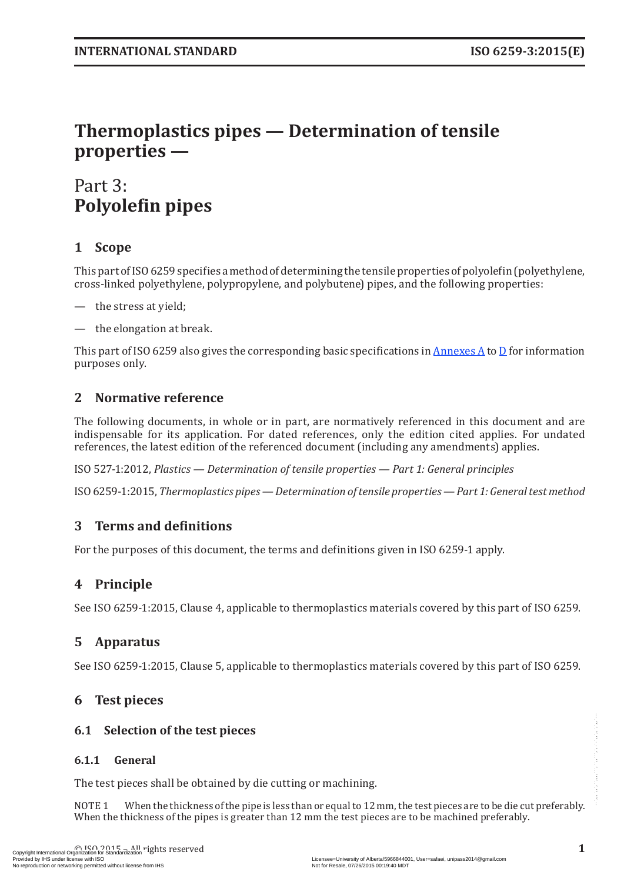# <span id="page-6-0"></span>**Thermoplastics pipes — Determination of tensile properties —**

# Part 3: **Polyolefin pipes**

#### **1 Scope**

This part of ISO6259 specifies a method of determining the tensile properties of polyolefin (polyethylene, cross-linked polyethylene, polypropylene, and polybutene) pipes, and the following properties:

- the stress at yield;
- the elongation at break.

This part of ISO 6259 also gives the corresponding basic specifications in [Annexes](#page-11-1) A to [D](#page-14-1) for information purposes only.

#### <span id="page-6-1"></span>**2 Normative reference**

The following documents, in whole or in part, are normatively referenced in this document and are indispensable for its application. For dated references, only the edition cited applies. For undated references, the latest edition of the referenced document (including any amendments) applies.

ISO 527-1:2012, *Plastics — Determination of tensile properties — Part 1: General principles*

ISO6259-1:2015, *Thermoplastics pipes—Determination oftensile properties—Part 1: Generaltestmethod*

#### **3 Terms and definitions**

For the purposes of this document, the terms and definitions given in ISO 6259-1 apply.

#### **4 Principle**

See ISO 6259-1:2015, Clause 4, applicable to thermoplastics materials covered by this part of ISO 6259.

#### **5 Apparatus**

See ISO 6259-1:2015, Clause 5, applicable to thermoplastics materials covered by this part of ISO 6259.

#### **6 Test pieces**

#### **6.1 Selection of the test pieces**

#### **6.1.1 General**

The test pieces shall be obtained by die cutting or machining.

NOTE 1 When the thickness of the pipe is less than or equal to 12 mm, the test pieces are to be die cut preferably. When the thickness of the pipes is greater than 12 mm the test pieces are to be machined preferably. **6.1 Selection of the test pieces**<br> **6.1.1 General**<br>
The test pieces shall be obtained by die cutting or machining.<br>
NOTE 1 When the thickness of the pipe is less than or equal to 12 mm, the test pieces are to be die cut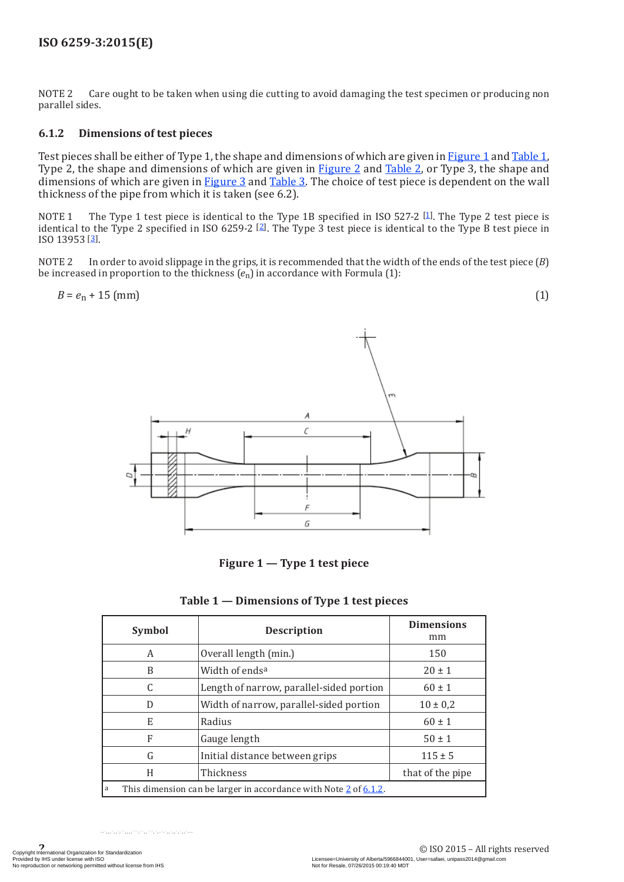#### <span id="page-7-0"></span>**ISO 6259-3:2015(E)**

NOTE 2 Care ought to be taken when using die cutting to avoid damaging the test specimen or producing non parallel sides.

#### <span id="page-7-3"></span>**6.1.2 Dimensions of test pieces**

Test pieces shall be either of Type 1, the shape and dimensions of which are given in [Figure](#page-7-1) 1 and [Table](#page-7-2) 1, Type 2, the shape and dimensions of which are given in [Figure](#page-8-0) 2 and [Table](#page-8-1) 2, or Type 3, the shape and dimensions of which are given in [Figure](#page-8-2) 3 and [Table](#page-9-1) 3. The choice of test piece is dependent on the wall thickness of the pipe from which it is taken (see 6.2).

NOTE 1 The Type 1 test piece is identical to the Type 1B specified in ISO 527-2 [\[1](#page-15-1)]. The Type 2 test piece is identical to the Type 2 specified in ISO 6259-2 [[2\]](#page-15-2). The Type 3 test piece is identical to the Type B test piece in ISO 13953 [[3\]](#page-15-3).

NOTE 2 In order to avoid slippage in the grips, it is recommended that the width of the ends of the test piece (*B*) be increased in proportion to the thickness (*e*n) in accordance with Formula (1):

$$
B = e_{n} + 15 \text{ (mm)} \tag{1}
$$



<span id="page-7-2"></span><span id="page-7-1"></span>**Figure 1 — Type 1 test piece**

| <b>Symbol</b>                                                         | <b>Description</b>                       | <b>Dimensions</b><br>mm |  |  |
|-----------------------------------------------------------------------|------------------------------------------|-------------------------|--|--|
| A                                                                     | Overall length (min.)                    | 150                     |  |  |
| B                                                                     | Width of endsa                           | $20 \pm 1$              |  |  |
| C                                                                     | Length of narrow, parallel-sided portion | $60 \pm 1$              |  |  |
| D                                                                     | Width of narrow, parallel-sided portion  | $10 \pm 0.2$            |  |  |
| E                                                                     | Radius                                   | $60 \pm 1$              |  |  |
| F                                                                     | Gauge length                             | $50 \pm 1$              |  |  |
| G                                                                     | Initial distance between grips           | $115 \pm 5$             |  |  |
| H                                                                     | Thickness                                | that of the pipe        |  |  |
| This dimension can be larger in accordance with Note 2 of 6.1.2.<br>a |                                          |                         |  |  |

#### **Table 1 — Dimensions of Type 1 test pieces**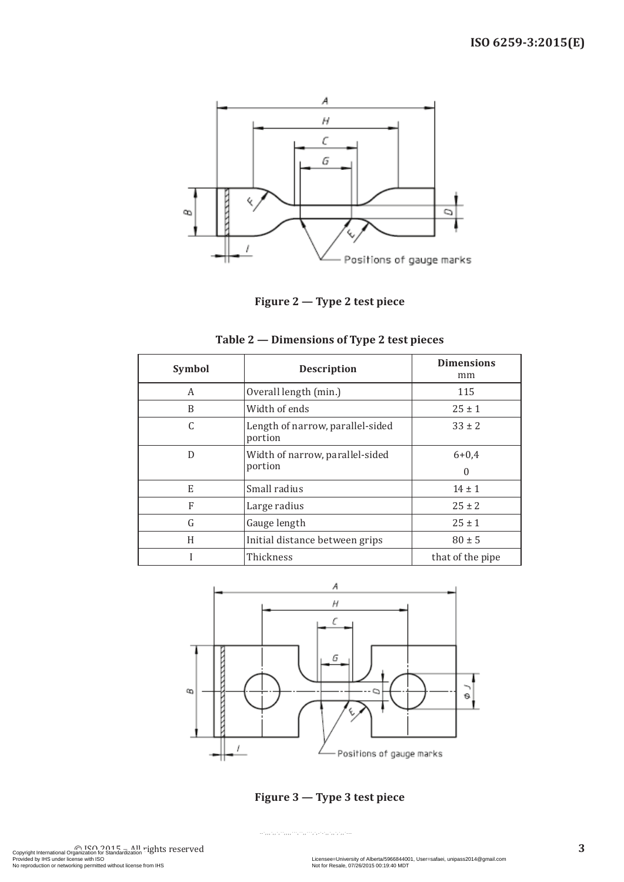

<span id="page-8-1"></span><span id="page-8-0"></span>**Figure 2 — Type 2 test piece**

| Symbol | <b>Description</b>                          | <b>Dimensions</b><br>mm |
|--------|---------------------------------------------|-------------------------|
| A      | Overall length (min.)                       | 115                     |
| B      | Width of ends                               | $25 \pm 1$              |
| C      | Length of narrow, parallel-sided<br>portion | $33 \pm 2$              |
| D      | Width of narrow, parallel-sided<br>portion  | $6 + 0,4$<br>$\Omega$   |
| E      | Small radius                                | $14 \pm 1$              |
| F      | Large radius                                | $25 \pm 2$              |
| G      | Gauge length                                | $25 \pm 1$              |
| H      | Initial distance between grips              | $80 \pm 5$              |
|        | Thickness                                   | that of the pipe        |



<span id="page-8-2"></span>**Figure 3 — Type 3 test piece**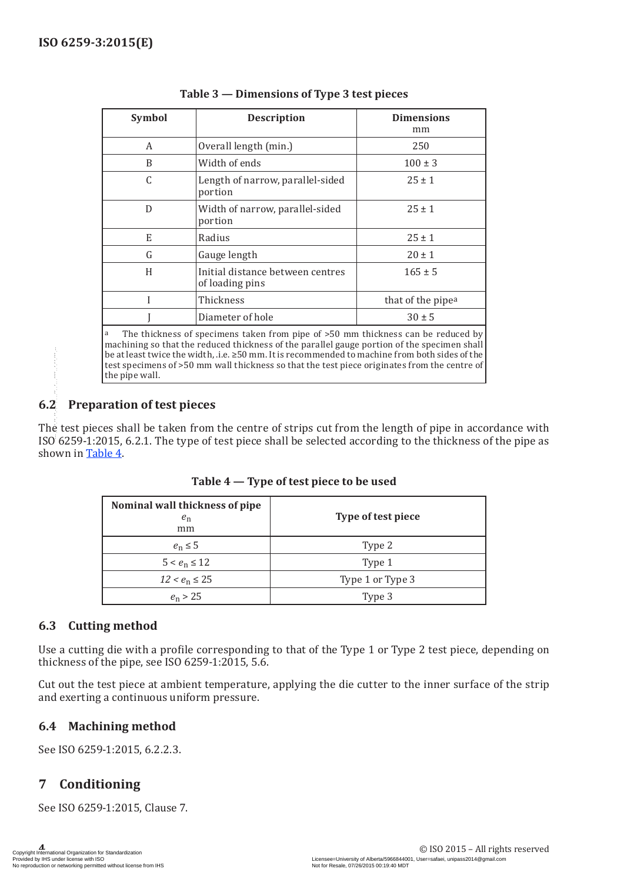<span id="page-9-0"></span>

| Symbol | <b>Description</b>                                  | <b>Dimensions</b><br>mm |
|--------|-----------------------------------------------------|-------------------------|
| A      | Overall length (min.)                               | 250                     |
| B      | Width of ends                                       | $100 \pm 3$             |
| C      | Length of narrow, parallel-sided<br>portion         | $25 \pm 1$              |
| D      | Width of narrow, parallel-sided<br>portion          | $25 \pm 1$              |
| E      | Radius                                              | $25 \pm 1$              |
| G      | Gauge length                                        | $20 \pm 1$              |
| H      | Initial distance between centres<br>of loading pins | $165 \pm 5$             |
|        | Thickness                                           | that of the pipea       |
|        | Diameter of hole                                    | $30 \pm 5$              |

<span id="page-9-1"></span>

The thickness of specimens taken from pipe of >50 mm thickness can be reduced by machining so that the reduced thickness of the parallel gauge portion of the specimen shall be at least twice the width, .i.e. ≥50 mm. It is recommended to machine from both sides of the test specimens of >50 mm wall thickness so that the test piece originates from the centre of the pipe wall.

#### **6.2 Preparation of test pieces**

The test pieces shall be taken from the centre of strips cut from the length of pipe in accordance with ISO 6259-1:2015, 6.2.1. The type of test piece shall be selected according to the thickness of the pipe as shown in [Table](#page-9-2) 4.

| shown in Table 4. | ISO 6259-1:2015, 6.2.1. The type of test piece shall be selected according to the thickness of                                                                                                                                                                                                  | The test pieces shall be taken from the centre of strips cut from the length of pipe in acco |
|-------------------|-------------------------------------------------------------------------------------------------------------------------------------------------------------------------------------------------------------------------------------------------------------------------------------------------|----------------------------------------------------------------------------------------------|
|                   | Table 4 – Type of test piece to be used                                                                                                                                                                                                                                                         |                                                                                              |
|                   | Nominal wall thickness of pipe<br>$e_{\rm n}$<br>mm                                                                                                                                                                                                                                             | Type of test piece                                                                           |
|                   | $e_n \leq 5$                                                                                                                                                                                                                                                                                    | Type 2                                                                                       |
|                   | $5 < e_n \le 12$                                                                                                                                                                                                                                                                                | Type 1                                                                                       |
|                   | $12 < e_n \le 25$                                                                                                                                                                                                                                                                               | Type 1 or Type 3                                                                             |
|                   | $e_n > 25$                                                                                                                                                                                                                                                                                      | Type 3                                                                                       |
|                   | Use a cutting die with a profile corresponding to that of the Type 1 or Type 2 test piece, do<br>thickness of the pipe, see ISO 6259-1:2015, 5.6.<br>Cut out the test piece at ambient temperature, applying the die cutter to the inner surface<br>and exerting a continuous uniform pressure. |                                                                                              |
| 6.4               | <b>Machining method</b>                                                                                                                                                                                                                                                                         |                                                                                              |
|                   | See ISO 6259-1:2015, 6.2.2.3.                                                                                                                                                                                                                                                                   |                                                                                              |
|                   |                                                                                                                                                                                                                                                                                                 |                                                                                              |
| 7                 | Conditioning                                                                                                                                                                                                                                                                                    |                                                                                              |

<span id="page-9-2"></span>**Table 4 — Type of test piece to be used**

#### **6.3 Cutting method**

Use a cutting die with a profile corresponding to that of the Type 1 or Type 2 test piece, depending on thickness of the pipe, see ISO 6259-1:2015, 5.6.

Cut out the test piece at ambient temperature, applying the die cutter to the inner surface of the strip and exerting a continuous uniform pressure.

#### **6.4 Machining method**

#### **7 Conditioning**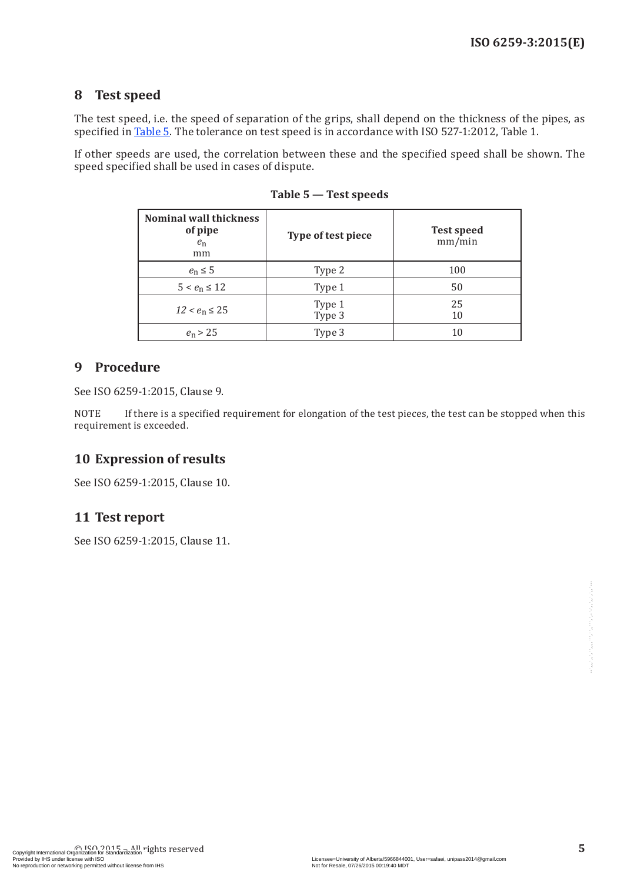#### <span id="page-10-0"></span>**8 Test speed**

The test speed, i.e. the speed of separation of the grips, shall depend on the thickness of the pipes, as specified in [Table](#page-10-1) 5. The tolerance on test speed is in accordance with ISO 527-1:2012, Table 1.

If other speeds are used, the correlation between these and the specified speed shall be shown. The speed specified shall be used in cases of dispute.

| <b>Nominal wall thickness</b><br>of pipe<br>$e_n$<br>mm | Type of test piece | <b>Test speed</b><br>mm/min |
|---------------------------------------------------------|--------------------|-----------------------------|
| $e_n \leq 5$                                            | Type 2             | 100                         |
| $5 < e_n \le 12$                                        | Type 1             | 50                          |
| $12 < e_n \leq 25$                                      | Type 1<br>Type 3   | 25<br>10                    |
| $e_n > 25$                                              | Type 3             | 10                          |

<span id="page-10-1"></span>**Table 5 — Test speeds**

#### **9 Procedure**

See ISO 6259-1:2015, Clause 9.

NOTE If there is a specified requirement for elongation of the test pieces, the test can be stopped when this requirement is exceeded.

#### **10 Expression of results**

See ISO 6259-1:2015, Clause 10.

#### **11 Test report**

See ISO 6259-1:2015, Clause 11.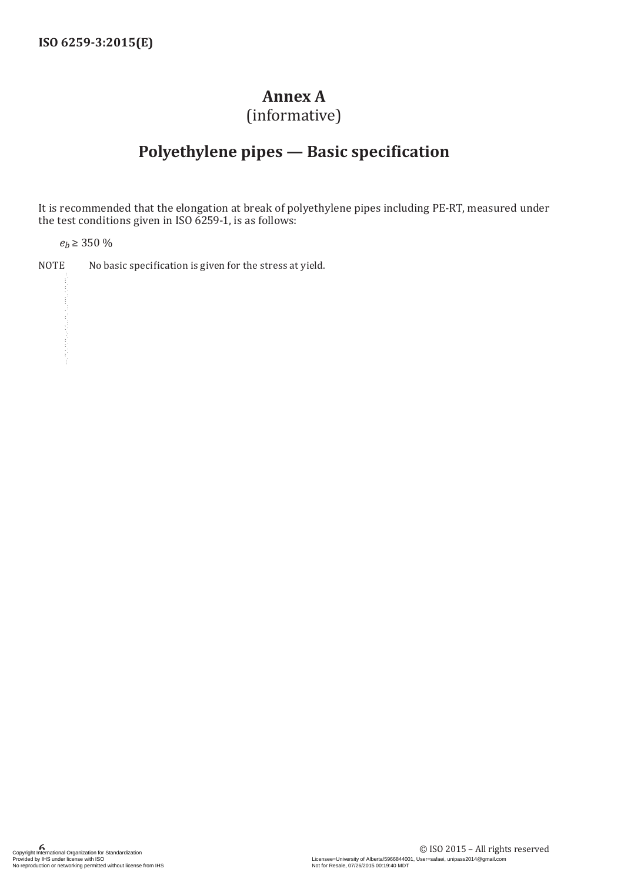### <span id="page-11-1"></span>**Annex A**

(informative)

## <span id="page-11-0"></span>**Polyethylene pipes — Basic specification**

It is recommended that the elongation at break of polyethylene pipes including PE-RT, measured under the test conditions given in ISO 6259-1, is as follows:

*eb* ≥ 350 %

NOTE No basic specification is given for the stress at yield.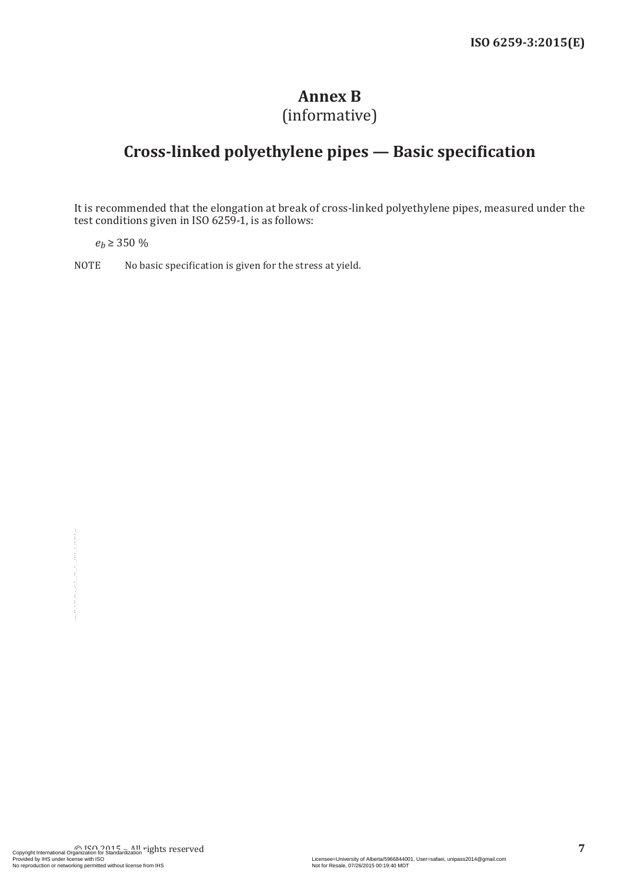# **Annex B**

# (informative)

## <span id="page-12-0"></span>**Cross-linked polyethylene pipes — Basic specification**

It is recommended that the elongation at break of cross-linked polyethylene pipes, measured under the test conditions given in ISO 6259-1, is as follows:

 $e_h \geq 350\%$ 

NOTE No basic specification is given for the stress at yield.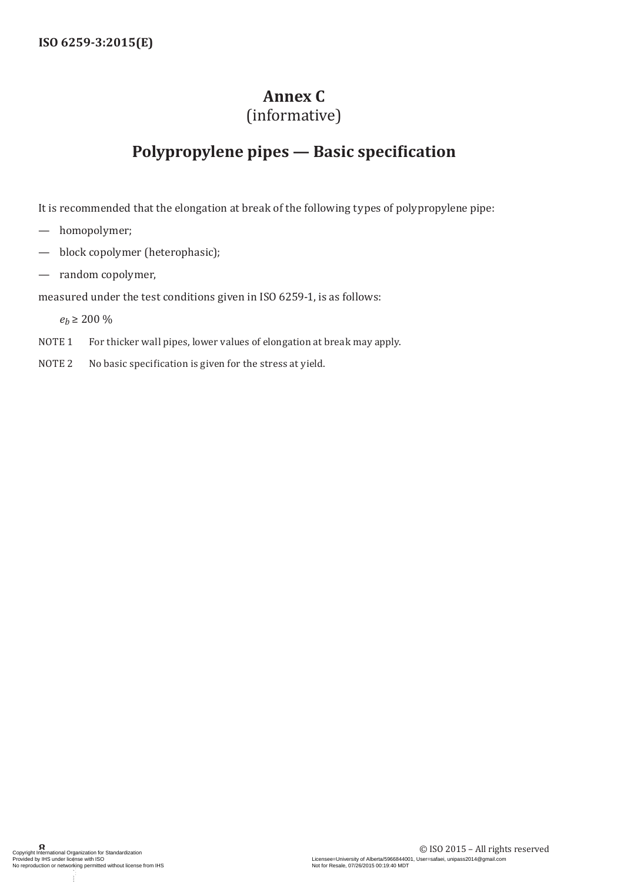# **Annex C**

## (informative)

## <span id="page-13-0"></span>**Polypropylene pipes — Basic specification**

It is recommended that the elongation at break of the following types of polypropylene pipe:

- homopolymer;
- block copolymer (heterophasic);
- random copolymer,

measured under the test conditions given in ISO 6259-1, is as follows:

 $e_h \ge 200\%$ 

- NOTE 1 For thicker wall pipes, lower values of elongation at break may apply.
- NOTE 2 No basic specification is given for the stress at yield.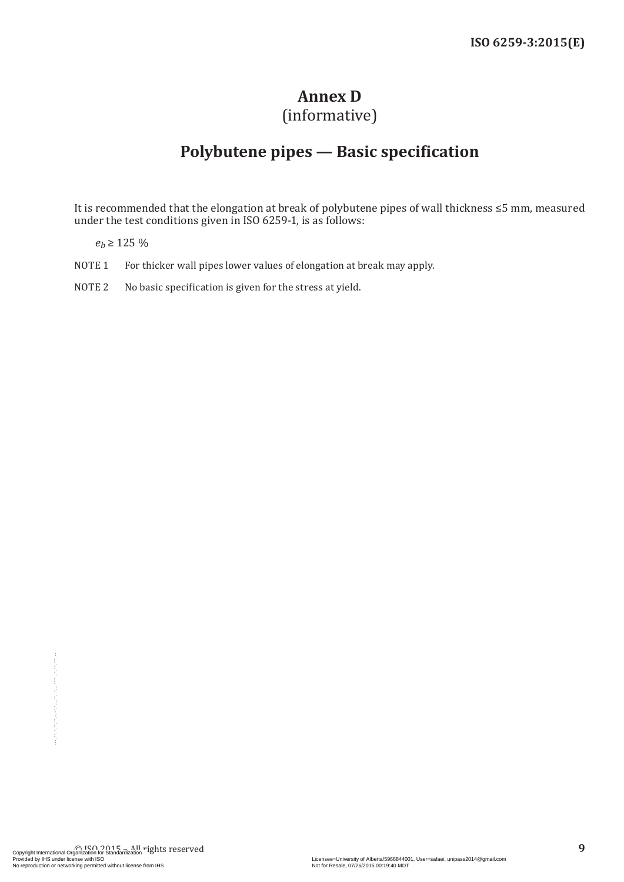# <span id="page-14-1"></span>**Annex D**

## (informative)

# **Polybutene pipes — Basic specification**

<span id="page-14-0"></span>It is recommended that the elongation at break of polybutene pipes of wall thickness ≤5 mm, measured under the test conditions given in ISO 6259-1, is as follows:

 $e_h \ge 125\%$ 

- NOTE 1 For thicker wall pipes lower values of elongation at break may apply.
- NOTE 2 No basic specification is given for the stress at yield.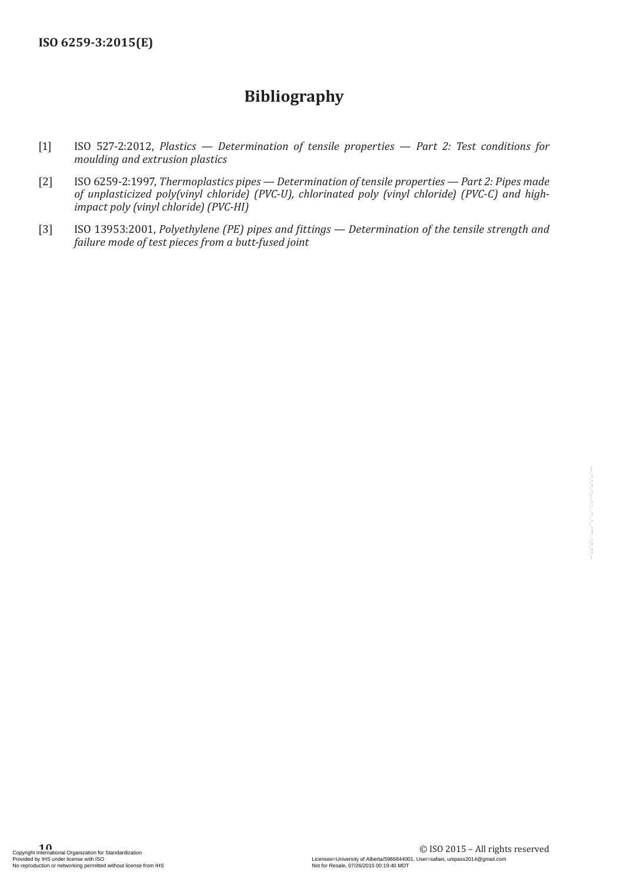## **Bibliography**

- <span id="page-15-1"></span><span id="page-15-0"></span>[1] ISO 527-2:2012, *Plastics — Determination of tensile properties — Part 2: Test conditions for moulding and extrusion plastics*
- <span id="page-15-2"></span>[2] ISO 6259-2:1997, *Thermoplastics pipes — Determination of tensile properties — Part 2: Pipes made of unplasticized poly(vinyl chloride) (PVC-U), chlorinated poly (vinyl chloride) (PVC-C) and highimpact poly (vinyl chloride) (PVC-HI)*
- <span id="page-15-3"></span>[3] ISO 13953:2001, *Polyethylene (PE) pipes and fittings — Determination of the tensile strength and failure mode of test pieces from a butt-fused joint*